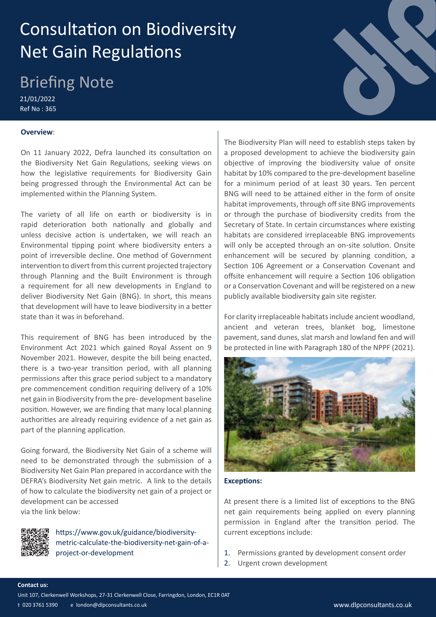# Consultation on Biodiversity Net Gain Regulations

# Briefing Note

21/01/2022 Ref No : 365

# **Overview**:

On 11 January 2022, Defra launched its consultation on the Biodiversity Net Gain Regulations, seeking views on how the legislative requirements for Biodiversity Gain being progressed through the Environmental Act can be implemented within the Planning System.

The variety of all life on earth or biodiversity is in rapid deterioration both nationally and globally and unless decisive action is undertaken, we will reach an Environmental tipping point where biodiversity enters a point of irreversible decline. One method of Government intervention to divert from this current projected trajectory through Planning and the Built Environment is through a requirement for all new developments in England to deliver Biodiversity Net Gain (BNG). In short, this means that development will have to leave biodiversity in a better state than it was in beforehand.

This requirement of BNG has been introduced by the Environment Act 2021 which gained Royal Assent on 9 November 2021. However, despite the bill being enacted, there is a two-year transition period, with all planning permissions after this grace period subject to a mandatory pre commencement condition requiring delivery of a 10% net gain in Biodiversity from the pre- development baseline position. However, we are finding that many local planning authorities are already requiring evidence of a net gain as part of the planning application.

Going forward, the Biodiversity Net Gain of a scheme will need to be demonstrated through the submission of a Biodiversity Net Gain Plan prepared in accordance with the DEFRA's Biodiversity Net gain metric. A link to the details of how to calculate the biodiversity net gain of a project or development can be accessed via the link below:



https://www.gov.uk/guidance/biodiversitymetric-calculate-the-biodiversity-net-gain-of-aproject-or-development

The Biodiversity Plan will need to establish steps taken by a proposed development to achieve the biodiversity gain objective of improving the biodiversity value of onsite habitat by 10% compared to the pre-development baseline for a minimum period of at least 30 years. Ten percent BNG will need to be attained either in the form of onsite habitat improvements, through off site BNG improvements or through the purchase of biodiversity credits from the Secretary of State. In certain circumstances where existing habitats are considered irreplaceable BNG improvements will only be accepted through an on-site solution. Onsite enhancement will be secured by planning condition, a Section 106 Agreement or a Conservation Covenant and offsite enhancement will require a Section 106 obligation or a Conservation Covenant and will be registered on a new publicly available biodiversity gain site register.

For clarity irreplaceable habitats include ancient woodland, ancient and veteran trees, blanket bog, limestone pavement, sand dunes, slat marsh and lowland fen and will be protected in line with Paragraph 180 of the NPPF (2021).



### **Exceptions:**

At present there is a limited list of exceptions to the BNG net gain requirements being applied on every planning permission in England after the transition period. The current exceptions include:

- 1. Permissions granted by development consent order
- 2. Urgent crown development

Unit 107, Clerkenwell Workshops, 27-31 Clerkenwell Close, Farringdon, London, EC1R 0AT

t 020 3761 5390 e london@dlpconsultants.co.uk